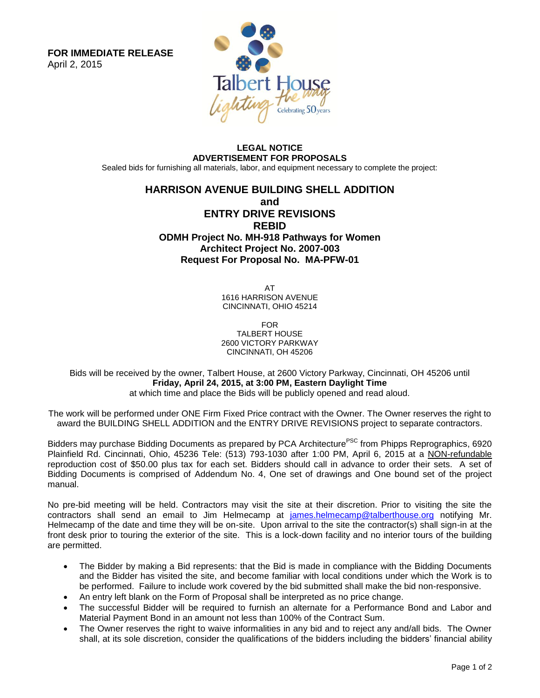**FOR IMMEDIATE RELEASE** April 2, 2015



## **LEGAL NOTICE ADVERTISEMENT FOR PROPOSALS** Sealed bids for furnishing all materials, labor, and equipment necessary to complete the project:

## **HARRISON AVENUE BUILDING SHELL ADDITION and ENTRY DRIVE REVISIONS REBID ODMH Project No. MH-918 Pathways for Women Architect Project No. 2007-003 Request For Proposal No. MA-PFW-01**

AT 1616 HARRISON AVENUE CINCINNATI, OHIO 45214

FOR TALBERT HOUSE 2600 VICTORY PARKWAY CINCINNATI, OH 45206

## Bids will be received by the owner, Talbert House, at 2600 Victory Parkway, Cincinnati, OH 45206 until **Friday, April 24, 2015, at 3:00 PM, Eastern Daylight Time**

at which time and place the Bids will be publicly opened and read aloud.

The work will be performed under ONE Firm Fixed Price contract with the Owner. The Owner reserves the right to award the BUILDING SHELL ADDITION and the ENTRY DRIVE REVISIONS project to separate contractors.

Bidders may purchase Bidding Documents as prepared by PCA Architecture<sup>PSC</sup> from Phipps Reprographics, 6920 Plainfield Rd. Cincinnati, Ohio, 45236 Tele: (513) 793-1030 after 1:00 PM, April 6, 2015 at a NON-refundable reproduction cost of \$50.00 plus tax for each set. Bidders should call in advance to order their sets. A set of Bidding Documents is comprised of Addendum No. 4, One set of drawings and One bound set of the project manual.

No pre-bid meeting will be held. Contractors may visit the site at their discretion. Prior to visiting the site the contractors shall send an email to Jim Helmecamp at [james.helmecamp@talberthouse.org](mailto:james.helmecamp@talberthouse.org) notifying Mr. Helmecamp of the date and time they will be on-site. Upon arrival to the site the contractor(s) shall sign-in at the front desk prior to touring the exterior of the site. This is a lock-down facility and no interior tours of the building are permitted.

- The Bidder by making a Bid represents: that the Bid is made in compliance with the Bidding Documents and the Bidder has visited the site, and become familiar with local conditions under which the Work is to be performed. Failure to include work covered by the bid submitted shall make the bid non-responsive.
- An entry left blank on the Form of Proposal shall be interpreted as no price change.
- The successful Bidder will be required to furnish an alternate for a Performance Bond and Labor and Material Payment Bond in an amount not less than 100% of the Contract Sum.
- The Owner reserves the right to waive informalities in any bid and to reject any and/all bids. The Owner shall, at its sole discretion, consider the qualifications of the bidders including the bidders' financial ability